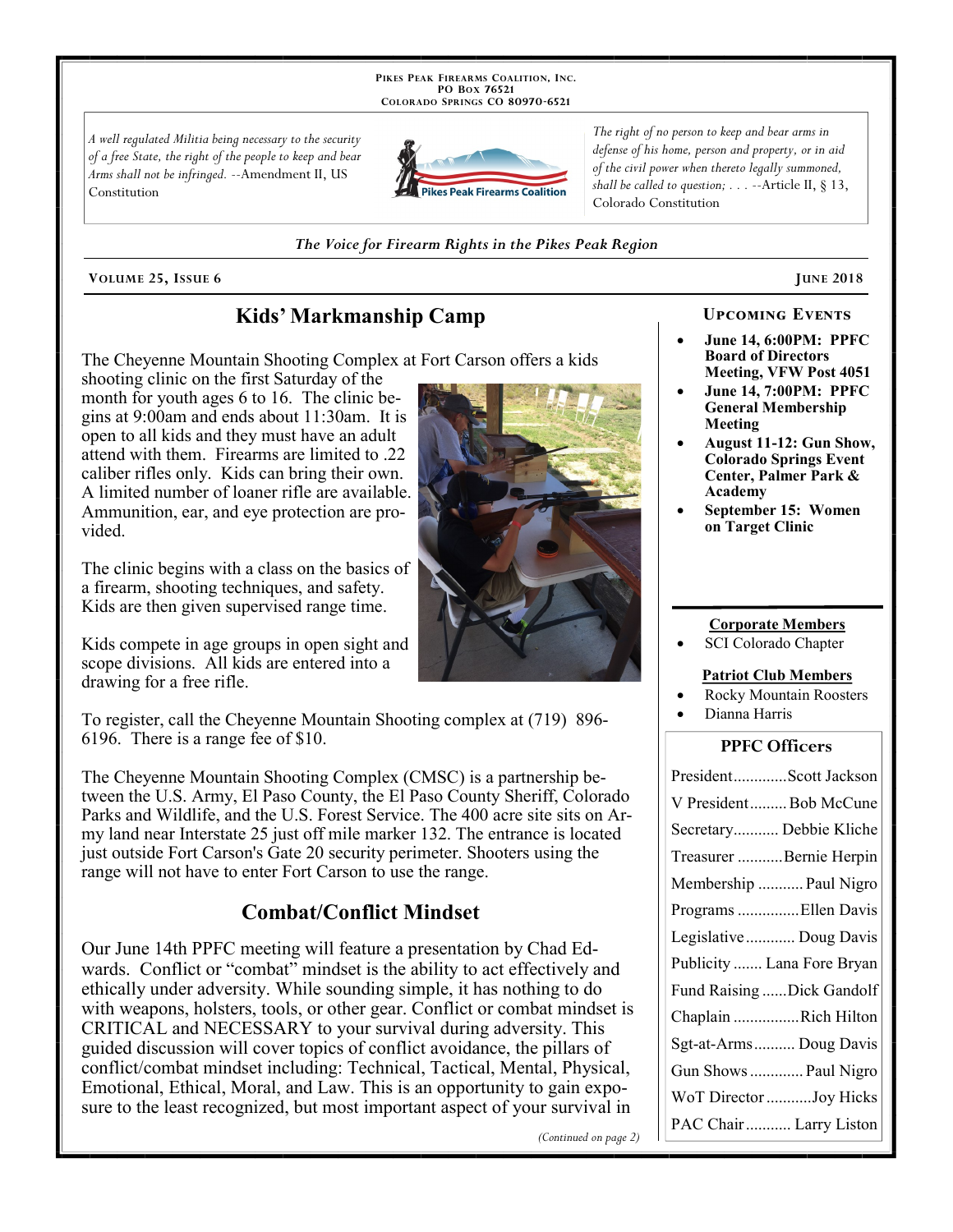PIKES PEAK FIREARMS COALITION, INC. PO Box 76521 COLORADO SPRINGS CO 80970-6521

A well regulated Militia being necessary to the security of a free State, the right of the people to keep and bear Arms shall not be infringed. --Amendment II, US Constitution



The right of no person to keep and bear arms in defense of his home, person and property, or in aid of the civil power when thereto legally summoned, shall be called to question;  $\ldots$  --Article II, § 13, Colorado Constitution

The Voice for Firearm Rights in the Pikes Peak Region

VOLUME 25, ISSUE 6

# Kids' Markmanship Camp

The Cheyenne Mountain Shooting Complex at Fort Carson offers a kids

shooting clinic on the first Saturday of the month for youth ages 6 to 16. The clinic begins at 9:00am and ends about 11:30am. It is open to all kids and they must have an adult attend with them. Firearms are limited to .22 caliber rifles only. Kids can bring their own. A limited number of loaner rifle are available. Ammunition, ear, and eye protection are provided.

The clinic begins with a class on the basics of a firearm, shooting techniques, and safety. Kids are then given supervised range time.

Kids compete in age groups in open sight and scope divisions. All kids are entered into a drawing for a free rifle.

To register, call the Cheyenne Mountain Shooting complex at (719) 896-6196. There is a range fee of \$10.

The Cheyenne Mountain Shooting Complex (CMSC) is a partnership between the U.S. Army, El Paso County, the El Paso County Sheriff, Colorado Parks and Wildlife, and the U.S. Forest Service. The 400 acre site sits on Army land near Interstate 25 just off mile marker 132. The entrance is located just outside Fort Carson's Gate 20 security perimeter. Shooters using the range will not have to enter Fort Carson to use the range.

# **Combat/Conflict Mindset**

Our June 14th PPFC meeting will feature a presentation by Chad Edwards. Conflict or "combat" mindset is the ability to act effectively and ethically under adversity. While sounding simple, it has nothing to do with weapons, holsters, tools, or other gear. Conflict or combat mindset is CRITICAL and NECESSARY to your survival during adversity. This guided discussion will cover topics of conflict avoidance, the pillars of conflict/combat mindset including: Technical, Tactical, Mental, Physical, Emotional, Ethical, Moral, and Law. This is an opportunity to gain exposure to the least recognized, but most important aspect of your survival in

(Continued on page 2)

#### **UPCOMING EVENTS**

**JUNE 2018** 

- **June 14, 6:00PM: PPFC Board of Directors Meeting, VFW Post 4051**
- **June 14, 7:00PM: PPFC General Membership** Meeting
- **August 11-12: Gun Show, Colorado Springs Event** Center, Palmer Park & Academy
- September 15: Women on Target Clinic

#### **Corporate Members**

SCI Colorado Chapter

#### **Patriot Club Members**

- **Rocky Mountain Roosters**
- Dianna Harris

### **PPFC Officers**

| PresidentScott Jackson     |
|----------------------------|
| V PresidentBob McCune      |
| Secretary Debbie Kliche    |
| Treasurer Bernie Herpin    |
| Membership  Paul Nigro     |
| Programs Ellen Davis       |
| Legislative  Doug Davis    |
| Publicity  Lana Fore Bryan |
| Fund Raising Dick Gandolf  |
| Chaplain Rich Hilton       |
| Sgt-at-Arms Doug Davis     |
| Gun Shows  Paul Nigro      |
| WoT Director Joy Hicks     |
|                            |